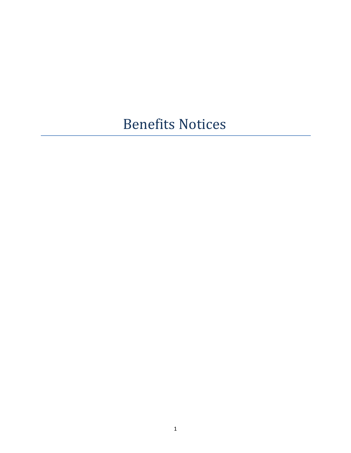# Benefits Notices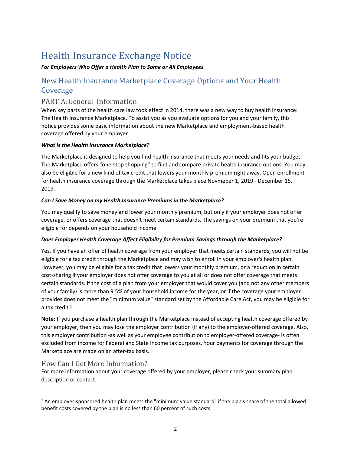## Health Insurance Exchange Notice

#### *For Employers Who Offer a Health Plan to Some or All Employees*

## New Health Insurance Marketplace Coverage Options and Your Health Coverage

## PART A:General Information

When key parts of the health care law took effect in 2014, there was a new way to buy health insurance: The Health Insurance Marketplace. To assist you as you evaluate options for you and your family, this notice provides some basic information about the new Marketplace and employment-based health coverage offered by your employer.

#### *What is the Health Insurance Marketplace?*

The Marketplace is designed to help you find health insurance that meets your needs and fits your budget. The Marketplace offers "one-stop shopping" to find and compare private health insurance options. You may also be eligible for a new kind of tax credit that lowers your monthly premium right away. Open enrollment for health insurance coverage through the Marketplace takes place Novmeber 1, 2019 - December 15, 2019.

#### *Can I Save Money on my Health Insurance Premiums in the Marketplace?*

You may qualify to save money and lower your monthly premium, but only if your employer does not offer coverage, or offers coverage that doesn't meet certain standards. The savings on your premium that you're eligible for depends on your household income.

#### *Does Employer Health Coverage Affect Eligibility for Premium Savings through the Marketplace?*

Yes. If you have an offer of health coverage from your employer that meets certain standards, you will not be eligible for a tax credit through the Marketplace and may wish to enroll in your employer's health plan. However, you may be eligible for a tax credit that lowers your monthly premium, or a reduction in certain cost-sharing if your employer does not offer coverage to you at all or does not offer coverage that meets certain standards. If the cost of a plan from your employer that would cover you (and not any other members of your family) is more than 9.5% of your household income for the year, or if the coverage your employer provides does not meet the "minimum value" standard set by the Affordable Care Act, you may be eligible for a tax credit. $1$ 

**Note:** If you purchase a health plan through the Marketplace instead of accepting health coverage offered by your employer, then you may lose the employer contribution (if any) to the employer-offered coverage. Also, this employer contribution -as well as your employee contribution to employer-offered coverage- is often excluded from income for Federal and State income tax purposes. Your payments for coverage through the Marketplace are made on an after-tax basis.

### How Can I Get More Information?

For more information about your coverage offered by your employer, please check your summary plan description or contact:

 $1$  An employer-sponsored health plan meets the "minimum value standard" if the plan's share of the total allowed benefit costs covered by the plan is no less than 60 percent of such costs.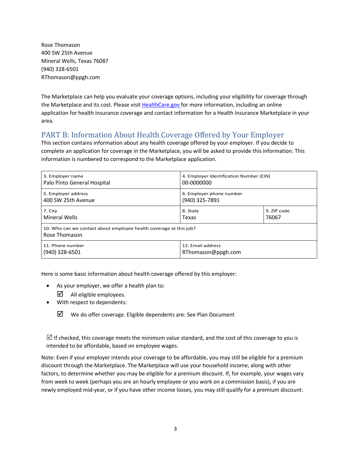Rose Thomason 400 SW 25th Avenue Mineral Wells, Texas 76087 (940) 328-6501 RThomason@ppgh.com

The Marketplace can help you evaluate your coverage options, including your eligibility for coverage through the Marketplace and its cost. Please visi[t HealthCare.gov f](http://www.healthcare.gov/)or more information, including an online application for health insurance coverage and contact information for a Health Insurance Marketplace in your area.

## PART B: Information About Health Coverage Offered by Your Employer

This section contains information about any health coverage offered by your employer. If you decide to complete an application for coverage in the Marketplace, you will be asked to provide this information. This information is numbered to correspond to the Marketplace application.

| 3. Employer name                                                                    | 4. Employer Identification Number (EIN) |             |
|-------------------------------------------------------------------------------------|-----------------------------------------|-------------|
| Palo Pinto General Hospital                                                         | 00-0000000                              |             |
| 5. Employer address                                                                 | 6. Employer phone number                |             |
| 400 SW 25th Avenue                                                                  | (940) 325-7891                          |             |
| 7. City                                                                             | 8. State                                | 9. ZIP code |
| <b>Mineral Wells</b>                                                                | Texas                                   | 76067       |
| 10. Who can we contact about employee health coverage at this job?<br>Rose Thomason |                                         |             |
| 11. Phone number<br>(940) 328-6501                                                  | 12. Email address<br>RThomason@ppgh.com |             |

Here is some basic information about health coverage offered by this employer:

- As your employer, we offer a health plan to:
	- $\overline{\mathbf{y}}$  All eligible employees.
- With respect to dependents:
	- $\boxtimes$  We do offer coverage. Eligible dependents are: See Plan Document

 $\boxtimes$  If checked, this coverage meets the minimum value standard, and the cost of this coverage to you is intended to be affordable, based on employee wages.

Note: Even if your employer intends your coverage to be affordable, you may still be eligible for a premium discount through the Marketplace. The Marketplace will use your household income, along with other factors, to determine whether you may be eligible for a premium discount. If, for example, your wages vary from week to week (perhaps you are an hourly employee or you work on a commission basis), if you are newly employed mid-year, or if you have other income losses, you may still qualify for a premium discount.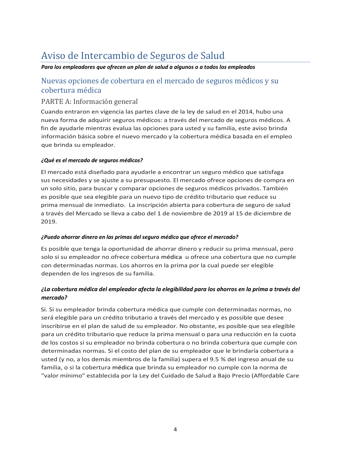## Aviso de Intercambio de Seguros de Salud

#### *Para los empleadores que ofrecen un plan de salud a algunos o a todos los empleados*

## Nuevas opciones de cobertura en el mercado de seguros médicos y su cobertura médica

## PARTE A: Información general

Cuando entraron en vigencia las partes clave de la ley de salud en el 2014, hubo una nueva forma de adquirir seguros médicos: a través del mercado de seguros médicos. A fin de ayudarle mientras evalua las opciones para usted y su familia, este aviso brinda información básica sobre el nuevo mercado y la cobertura médica basada en el empleo que brinda su empleador.

#### *¿Qué es el mercado de seguros médicos?*

El mercado está diseñado para ayudarle a encontrar un seguro médico que satisfaga sus necesidades y se ajuste a su presupuesto. El mercado ofrece opciones de compra en un solo sitio, para buscar y comparar opciones de seguros médicos privados. También es posible que sea elegible para un nuevo tipo de crédito tributario que reduce su prima mensual de inmediato. La inscripción abierta para cobertura de seguro de salud a través del Mercado se lleva a cabo del 1 de noviembre de 2019 al 15 de diciembre de 2019.

#### *¿Puedo ahorrar dinero en las primas del seguro médico que ofrece el mercado?*

Es posible que tenga la oportunidad de ahorrar dinero y reducir su prima mensual, pero solo si su empleador no ofrece cobertura médica u ofrece una cobertura que no cumple con determinadas normas. Los ahorros en la prima por la cual puede ser elegible dependen de los ingresos de su familia.

### *¿La cobertura médica del empleador afecta la elegibilidad para los ahorros en la prima a través del mercado?*

Sí. Si su empleador brinda cobertura médica que cumple con determinadas normas, no será elegible para un crédito tributario a través del mercado y es possible que desee inscribirse en el plan de salud de su empleador. No obstante, es posible que sea elegible para un crédito tributario que reduce la prima mensual o para una reducción en la cuota de los costos si su empleador no brinda cobertura o no brinda cobertura que cumple con determinadas normas. Si el costo del plan de su empleador que le brindaría cobertura a usted (y no, a los demás miembros de la familia) supera el 9.5 % del ingreso anual de su familia, o si la cobertura médica que brinda su empleador no cumple con la norma de "valor mínimo" establecida por la Ley del Cuidado de Salud a Bajo Precio (Affordable Care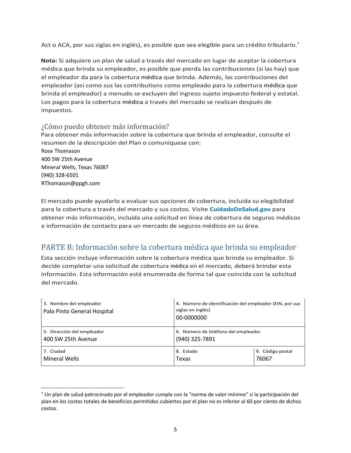Act o ACA, por sus siglas en inglés), es posible que sea elegible para un crédito tributario.†

**Nota:** Si adquiere un plan de salud a través del mercado en lugar de aceptar la cobertura médica que brinda su empleador, es posible que pierda las contribuciones (si las hay) que el empleador da para la cobertura médica que brinda. Además, las contribuciones del empleador (así como sus las contributions como empleado para la cobertura médica que brinda el empleador) a menudo se excluyen del ingreso sujeto impuesto federal y estatal. Los pagos para la cobertura médica a través del mercado se realizan después de impuestos.

### ¿Cómo puedo obtener más información?

Para obtener más información sobre la cobertura que brinda el empleador, consulte el resumen de la descripción del Plan o comuníquese con: Rose Thomason 400 SW 25th Avenue Mineral Wells, Texas 76087 (940) 328-6501 RThomason@ppgh.com

El mercado puede ayudarlo a evaluar sus opciones de cobertura, incluida su elegibilidad para la cobertura a través del mercado y sus costos. Visite **CuidadoDeSalud.gov** para obtener más información, incluida una solicitud en línea de cobertura de seguros médicos e información de contacto para un mercado de seguros médicos en su área.

## PARTE B: Información sobre la cobertura médica que brinda su empleador

Esta sección incluye información sobre la cobertura médica que brinda su empleador. Si decide completar una solicitud de cobertura médica en el mercado, deberá brindar esta información. Esta información está enumerada de forma tal que coincida con la solicitud del mercado.

| 3. Nombre del empleador<br>Palo Pinto General Hospital | 4. Número de identificación del empleador (EIN, por sus<br>siglas en inglés)<br>00-0000000 |                  |
|--------------------------------------------------------|--------------------------------------------------------------------------------------------|------------------|
| 5. Dirección del empleador                             | 6. Número de teléfono del empleador                                                        |                  |
| 400 SW 25th Avenue                                     | (940) 325-7891                                                                             |                  |
| 7. Ciudad                                              | 8. Estado                                                                                  | 9. Código postal |
| Mineral Wells                                          | Texas                                                                                      | 76067            |

<sup>†</sup> Un plan de salud patrocinado por el empleador cumple con la "norma de valor mínimo" si la participación del plan en los costos totales de beneficios permitidos cubiertos por el plan no es inferior al 60 por ciento de dichos costos.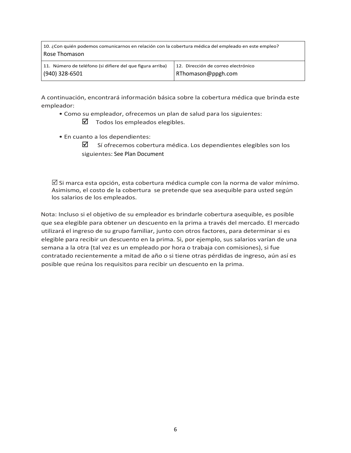10. ¿Con quién podemos comunicarnos en relación con la cobertura médica del empleado en este empleo? Rose Thomason

| 11. Número de teléfono (si difiere del que figura arriba)   12. D |      |
|-------------------------------------------------------------------|------|
| (940) 328-6501                                                    | RTho |

lirección de correo electrónico mason@ppgh.com

A continuación, encontrará información básica sobre la cobertura médica que brinda este empleador:

- Como su empleador, ofrecemos un plan de salud para los siguientes:
	- $\boxtimes$  Todos los empleados elegibles.
- En cuanto a los dependientes:

 $\boxtimes$  Sí ofrecemos cobertura médica. Los dependientes elegibles son los siguientes: See Plan Document

 $\boxtimes$  Si marca esta opción, esta cobertura médica cumple con la norma de valor mínimo. Asimismo, el costo de la cobertura se pretende que sea asequible para usted según los salarios de los empleados.

Nota: Incluso si el objetivo de su empleador es brindarle cobertura asequible, es posible que sea elegible para obtener un descuento en la prima a través del mercado. El mercado utilizará el ingreso de su grupo familiar, junto con otros factores, para determinar si es elegible para recibir un descuento en la prima. Si, por ejemplo, sus salarios varían de una semana a la otra (tal vez es un empleado por hora o trabaja con comisiones), si fue contratado recientemente a mitad de año o si tiene otras pérdidas de ingreso, aún así es posible que reúna los requisitos para recibir un descuento en la prima.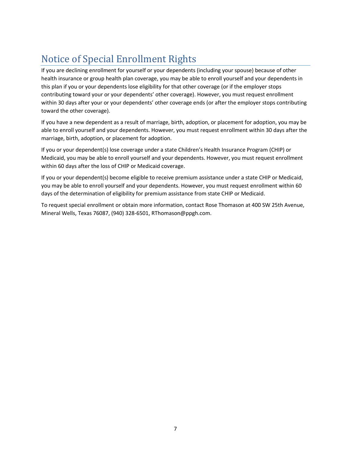## Notice of Special Enrollment Rights

If you are declining enrollment for yourself or your dependents (including your spouse) because of other health insurance or group health plan coverage, you may be able to enroll yourself and your dependents in this plan if you or your dependents lose eligibility for that other coverage (or if the employer stops contributing toward your or your dependents' other coverage). However, you must request enrollment within 30 days after your or your dependents' other coverage ends (or after the employer stops contributing toward the other coverage).

If you have a new dependent as a result of marriage, birth, adoption, or placement for adoption, you may be able to enroll yourself and your dependents. However, you must request enrollment within 30 days after the marriage, birth, adoption, or placement for adoption.

If you or your dependent(s) lose coverage under a state Children's Health Insurance Program (CHIP) or Medicaid, you may be able to enroll yourself and your dependents. However, you must request enrollment within 60 days after the loss of CHIP or Medicaid coverage.

If you or your dependent(s) become eligible to receive premium assistance under a state CHIP or Medicaid, you may be able to enroll yourself and your dependents. However, you must request enrollment within 60 days of the determination of eligibility for premium assistance from state CHIP or Medicaid.

To request special enrollment or obtain more information, contact Rose Thomason at 400 SW 25th Avenue, Mineral Wells, Texas 76087, (940) 328-6501, RThomason@ppgh.com.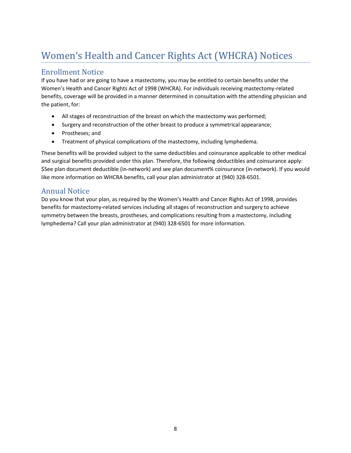## Women's Health and Cancer Rights Act (WHCRA) Notices

## Enrollment Notice

If you have had or are going to have a mastectomy, you may be entitled to certain benefits under the Women's Health and Cancer Rights Act of 1998 (WHCRA). For individuals receiving mastectomy-related benefits, coverage will be provided in a manner determined in consultation with the attending physician and the patient, for:

- All stages of reconstruction of the breast on which the mastectomy was performed;
- Surgery and reconstruction of the other breast to produce a symmetrical appearance;
- Prostheses; and
- Treatment of physical complications of the mastectomy, including lymphedema.

These benefits will be provided subject to the same deductibles and coinsurance applicable to other medical and surgical benefits provided under this plan. Therefore, the following deductibles and coinsurance apply: \$See plan document deductible (in-network) and see plan document% coinsurance (in-network). If you would like more information on WHCRA benefits, call your plan administrator at (940) 328-6501.

## Annual Notice

Do you know that your plan, as required by the Women's Health and Cancer Rights Act of 1998, provides benefits for mastectomy-related services including all stages of reconstruction and surgery to achieve symmetry between the breasts, prostheses, and complications resulting from a mastectomy, including lymphedema? Call your plan administrator at (940) 328-6501 for more information.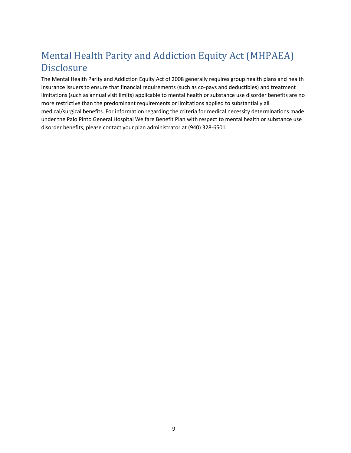## Mental Health Parity and Addiction Equity Act (MHPAEA) Disclosure

The Mental Health Parity and Addiction Equity Act of 2008 generally requires group health plans and health insurance issuers to ensure that financial requirements (such as co-pays and deductibles) and treatment limitations (such as annual visit limits) applicable to mental health or substance use disorder benefits are no more restrictive than the predominant requirements or limitations applied to substantially all medical/surgical benefits. For information regarding the criteria for medical necessity determinations made under the Palo Pinto General Hospital Welfare Benefit Plan with respect to mental health or substance use disorder benefits, please contact your plan administrator at (940) 328-6501.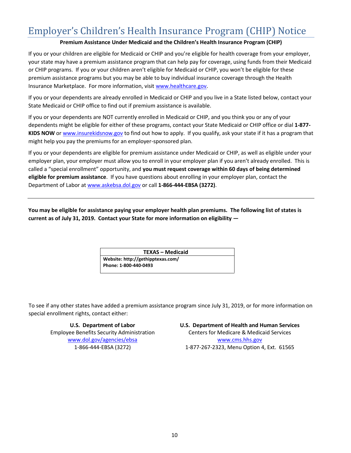## Employer's Children's Health Insurance Program (CHIP) Notice

#### **Premium Assistance Under Medicaid and the Children's Health Insurance Program (CHIP)**

If you or your children are eligible for Medicaid or CHIP and you're eligible for health coverage from your employer, your state may have a premium assistance program that can help pay for coverage, using funds from their Medicaid or CHIP programs. If you or your children aren't eligible for Medicaid or CHIP, you won't be eligible for these premium assistance programs but you may be able to buy individual insurance coverage through the Health Insurance Marketplace. For more information, visi[t www.healthcare.gov.](http://www.healthcare.gov/)

If you or your dependents are already enrolled in Medicaid or CHIP and you live in a State listed below, contact your State Medicaid or CHIP office to find out if premium assistance is available.

If you or your dependents are NOT currently enrolled in Medicaid or CHIP, and you think you or any of your dependents might be eligible for either of these programs, contact your State Medicaid or CHIP office or dial **1-877- KIDS NOW** o[r www.insurekidsnow.gov](http://www.insurekidsnow.gov/) to find out how to apply. If you qualify, ask your state if it has a program that might help you pay the premiums for an employer-sponsored plan.

If you or your dependents are eligible for premium assistance under Medicaid or CHIP, as well as eligible under your employer plan, your employer must allow you to enroll in your employer plan if you aren't already enrolled. This is called a "special enrollment" opportunity, and **you must request coverage within 60 days of being determined eligible for premium assistance**. If you have questions about enrolling in your employer plan, contact the Department of Labor a[t www.askebsa.dol.gov](http://www.askebsa.dol.gov/) or call **1-866-444-EBSA (3272)**.

**You may be eligible for assistance paying your employer health plan premiums. The following list of states is current as of July 31, 2019. Contact your State for more information on eligibility —**

| <b>TEXAS - Medicaid</b>           |
|-----------------------------------|
| Website: http://gethipptexas.com/ |
| Phone: 1-800-440-0493             |

[To see if any other states have added a premium as](http://dhss.alaska.gov/dpa/Pages/medicaid/default.aspx)sistance program since July 31, 2019, or for more information on special enrollment rights, contact either:

**U.S. Department of Labor**  Employee Benefits Security Administration www.dol.gov/agencies/ebsa 1-866-444-EBSA (3272)

**U.S. Department of Health and Human Services** 

Centers for Medicare & Medicaid Services www.cms.hhs.gov 1-877-267-2323, Menu Option 4, Ext. 61565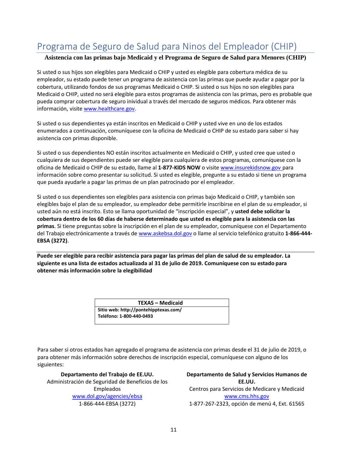## Programa de Seguro de Salud para Ninos del Empleador (CHIP)

#### **Asistencia con las primas bajo Medicaid y el Programa de Seguro de Salud para Menores (CHIP)**

Si usted o sus hijos son elegibles para Medicaid o CHIP y usted es elegible para cobertura médica de su empleador, su estado puede tener un programa de asistencia con las primas que puede ayudar a pagar por la cobertura, utilizando fondos de sus programas Medicaid o CHIP. Si usted o sus hijos no son elegibles para Medicaid o CHIP, usted no será elegible para estos programas de asistencia con las primas, pero es probable que pueda comprar cobertura de seguro inividual a través del mercado de seguros médicos. Para obtener más información, visite [www.healthcare.gov.](http://www.healthcare.gov/)

Si usted o sus dependientes ya están inscritos en Medicaid o CHIP y usted vive en uno de los estados enumerados a continuación, comuníquese con la oficina de Medicaid o CHIP de su estado para saber si hay asistencia con primas disponible.

Si usted o sus dependientes NO están inscritos actualmente en Medicaid o CHIP, y usted cree que usted o cualquiera de sus dependientes puede ser elegible para cualquiera de estos programas, comuníquese con la oficina de Medicaid o CHIP de su estado, llame al **1-877-KIDS NOW** o visit[e www.insurekidsnow.gov](http://www.insurekidsnow.gov/) para información sobre como presentar su solicitud. Si usted es elegible, pregunte a su estado si tiene un programa que pueda ayudarle a pagar las primas de un plan patrocinado por el empleador.

Si usted o sus dependientes son elegibles para asistencia con primas bajo Medicaid o CHIP, y también son elegibles bajo el plan de su empleador, su empleador debe permitirle inscribirse en el plan de su empleador, si usted aún no está inscrito. Esto se llama oportunidad de "inscripción especial", y **usted debe solicitar la cobertura dentro de los 60 días de haberse determinado que usted es elegible para la asistencia con las primas**. Si tiene preguntas sobre la inscripción en el plan de su empleador, comuníquese con el Departamento del Trabajo electrónicamente a través de [www.askebsa.dol.gov](http://www.askebsa.dol.gov/) o llame al servicio telefónico gratuito **1-866-444- EBSA (3272)**.

**Puede ser elegible para recibir asistencia para pagar las primas del plan de salud de su empleador. La siguiente es una lista de estados actualizada al 31 de julio de 2019. Comuníquese con su estado para obtener más información sobre la elegibilidad** 

| <b>TEXAS - Medicaid</b>               |
|---------------------------------------|
| Sitio web: http://pontehipptexas.com/ |
| Teléfono: 1-800-440-0493              |

Para saber si otros est[ados han agregado el programa de a](mailto:CustomerService@MyAKHIPP.com)sistencia [con primas desde el 31 de julio de 2019, o](https://www.colorado.gov/pacific/hcpf/child-health-plan-plus)  [para obtener más información sobre derechos de inscrip](http://dhss.alaska.gov/dpa/Pages/medicaid/default.aspx)ción [especial, comuníq](https://www.colorado.gov/pacific/hcpf/child-health-plan-plus)uese con alguno de los siguientes:

**Departamento del Trabajo de EE.UU.**  Administración de Seguridad de Beneficios de los Empleados www.dol.gov/agencies/ebsa [1-866-444-EBSA \(3272\)](http://flmedicaidtplrecovery.com/hipp/) 

**Departamento de Salud y Servicios Humanos de EE.UU.** Centros para Servicios de Medicare y Medicaid www.cms.hhs.gov 1-877-267-2323, [opción de menú 4, Ext. 61565](https://mn.gov/dhs/people-we-serve/seniors/health-care/health-care-programs/programs-and-services/other-insurance.hsp)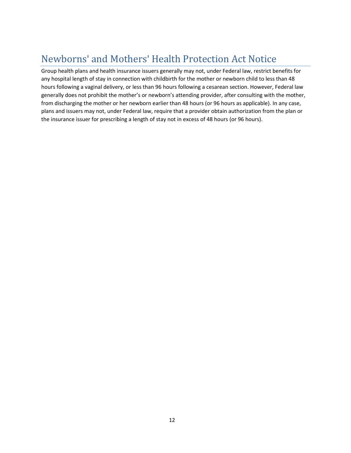## Newborns' and Mothers' Health Protection Act Notice

Group health plans and health insurance issuers generally may not, under Federal law, restrict benefits for any hospital length of stay in connection with childbirth for the mother or newborn child to less than 48 hours following a vaginal delivery, or less than 96 hours following a cesarean section. However, Federal law generally does not prohibit the mother's or newborn's attending provider, after consulting with the mother, from discharging the mother or her newborn earlier than 48 hours (or 96 hours as applicable). In any case, plans and issuers may not, under Federal law, require that a provider obtain authorization from the plan or the insurance issuer for prescribing a length of stay not in excess of 48 hours (or 96 hours).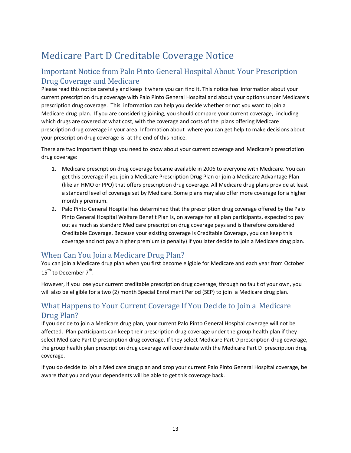## Medicare Part D Creditable Coverage Notice

## Important Notice from Palo Pinto General Hospital About Your Prescription Drug Coverage and Medicare

Please read this notice carefully and keep it where you can find it. This notice has information about your current prescription drug coverage with Palo Pinto General Hospital and about your options under Medicare's prescription drug coverage. This information can help you decide whether or not you want to join a Medicare drug plan. If you are considering joining, you should compare your current coverage, including which drugs are covered at what cost, with the coverage and costs of the plans offering Medicare prescription drug coverage in your area. Information about where you can get help to make decisions about your prescription drug coverage is at the end of this notice.

There are two important things you need to know about your current coverage and Medicare's prescription drug coverage:

- 1. Medicare prescription drug coverage became available in 2006 to everyone with Medicare. You can get this coverage if you join a Medicare Prescription Drug Plan or join a Medicare Advantage Plan (like an HMO or PPO) that offers prescription drug coverage. All Medicare drug plans provide at least a standard level of coverage set by Medicare. Some plans may also offer more coverage for a higher monthly premium.
- 2. Palo Pinto General Hospital has determined that the prescription drug coverage offered by the Palo Pinto General Hospital Welfare Benefit Plan is, on average for all plan participants, expected to pay out as much as standard Medicare prescription drug coverage pays and is therefore considered Creditable Coverage. Because your existing coverage is Creditable Coverage, you can keep this coverage and not pay a higher premium (a penalty) if you later decide to join a Medicare drug plan.

## When Can You Join a Medicare Drug Plan?

You can join a Medicare drug plan when you first become eligible for Medicare and each year from October  $15^{\text{th}}$  to December 7<sup>th</sup>.

However, if you lose your current creditable prescription drug coverage, through no fault of your own, you will also be eligible for a two (2) month Special Enrollment Period (SEP) to join a Medicare drug plan.

## What Happens to Your Current Coverage If You Decide to Join a Medicare Drug Plan?

If you decide to join a Medicare drug plan, your current Palo Pinto General Hospital coverage will not be affected. Plan participants can keep their prescription drug coverage under the group health plan if they select Medicare Part D prescription drug coverage. If they select Medicare Part D prescription drug coverage, the group health plan prescription drug coverage will coordinate with the Medicare Part D prescription drug coverage.

If you do decide to join a Medicare drug plan and drop your current Palo Pinto General Hospital coverage, be aware that you and your dependents will be able to get this coverage back.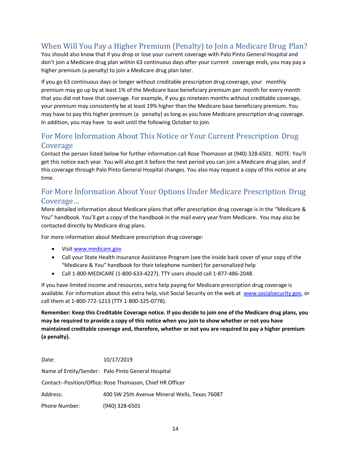## When Will You Pay a Higher Premium (Penalty) to Join a Medicare Drug Plan?

You should also know that if you drop or lose your current coverage with Palo Pinto General Hospital and don't join a Medicare drug plan within 63 continuous days after your current coverage ends, you may pay a higher premium (a penalty) to join a Medicare drug plan later.

If you go 63 continuous days or longer without creditable prescription drug coverage, your monthly premium may go up by at least 1% of the Medicare base beneficiary premium per month for every month that you did not have that coverage. For example, if you go nineteen months without creditable coverage, your premium may consistently be at least 19% higher than the Medicare base beneficiary premium. You may have to pay this higher premium (a penalty) as long as you have Medicare prescription drug coverage. In addition, you may have to wait until the following October to join.

## For More Information About This Notice or Your Current Prescription Drug Coverage

Contact the person listed below for further information call Rose Thomason at (940) 328-6501. NOTE: You'll get this notice each year. You will also get it before the next period you can join a Medicare drug plan, and if this coverage through Palo Pinto General Hospital changes. You also may request a copy of this notice at any time.

## For More Information About Your Options Under Medicare Prescription Drug Coverage…

More detailed information about Medicare plans that offer prescription drug coverage is in the "Medicare & You" handbook. You'll get a copy of the handbook in the mail every year from Medicare. You may also be contacted directly by Medicare drug plans.

For more information about Medicare prescription drug coverage:

- Visit [www.medicare.gov](http://www.medicare.gov/)
- Call your State Health Insurance Assistance Program (see the inside back cover of your copy of the "Medicare & You" handbook for their telephone number) for personalized help
- Call 1-800-MEDICARE (1-800-633-4227). TTY users should call 1-877-486-2048.

If you have limited income and resources, extra help paying for Medicare prescription drug coverage is available. For information about this extra help, visit Social Security on the web at [www.socialsecurity.gov,](http://www.socialsecurity.gov/) or call them at 1-800-772-1213 (TTY 1-800-325-0778).

**Remember: Keep this Creditable Coverage notice. If you decide to join one of the Medicare drug plans, you may be required to provide a copy of this notice when you join to show whether or not you have maintained creditable coverage and, therefore, whether or not you are required to pay a higher premium (a penalty).**

| Date:                                                     | 10/17/2019                                         |  |  |
|-----------------------------------------------------------|----------------------------------------------------|--|--|
|                                                           | Name of Entity/Sender: Palo Pinto General Hospital |  |  |
| Contact--Position/Office: Rose Thomason, Chief HR Officer |                                                    |  |  |
| Address:                                                  | 400 SW 25th Avenue Mineral Wells, Texas 76087      |  |  |
| Phone Number:                                             | (940) 328-6501                                     |  |  |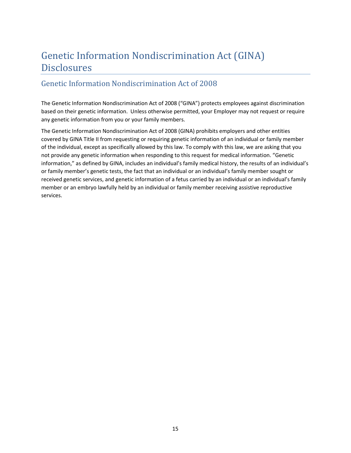## Genetic Information Nondiscrimination Act (GINA) **Disclosures**

## Genetic Information Nondiscrimination Act of 2008

The Genetic Information Nondiscrimination Act of 2008 ("GINA") protects employees against discrimination based on their genetic information. Unless otherwise permitted, your Employer may not request or require any genetic information from you or your family members.

The Genetic Information Nondiscrimination Act of 2008 (GINA) prohibits employers and other entities covered by GINA Title II from requesting or requiring genetic information of an individual or family member of the individual, except as specifically allowed by this law. To comply with this law, we are asking that you not provide any genetic information when responding to this request for medical information. "Genetic information," as defined by GINA, includes an individual's family medical history, the results of an individual's or family member's genetic tests, the fact that an individual or an individual's family member sought or received genetic services, and genetic information of a fetus carried by an individual or an individual's family member or an embryo lawfully held by an individual or family member receiving assistive reproductive services.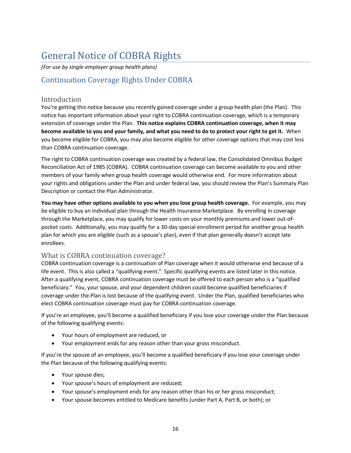## General Notice of COBRA Rights

*(For use by single-employer group health plans)*

## Continuation Coverage Rights Under COBRA

### Introduction

You're getting this notice because you recently gained coverage under a group health plan (the Plan). This notice has important information about your right to COBRA continuation coverage, which is a temporary extension of coverage under the Plan. **This notice explains COBRA continuation coverage, when it may become available to you and your family, and what you need to do to protect your right to get it.** When you become eligible for COBRA, you may also become eligible for other coverage options that may cost less than COBRA continuation coverage.

The right to COBRA continuation coverage was created by a federal law, the Consolidated Omnibus Budget Reconciliation Act of 1985 (COBRA). COBRA continuation coverage can become available to you and other members of your family when group health coverage would otherwise end. For more information about your rights and obligations under the Plan and under federal law, you should review the Plan's Summary Plan Description or contact the Plan Administrator.

**You may have other options available to you when you lose group health coverage.** For example, you may be eligible to buy an individual plan through the Health Insurance Marketplace. By enrolling in coverage through the Marketplace, you may qualify for lower costs on your monthly premiums and lower out-ofpocket costs. Additionally, you may qualify for a 30-day special enrollment period for another group health plan for which you are eligible (such as a spouse's plan), even if that plan generally doesn't accept late enrollees.

#### What is COBRA continuation coverage?

COBRA continuation coverage is a continuation of Plan coverage when it would otherwise end because of a life event. This is also called a "qualifying event." Specific qualifying events are listed later in this notice. After a qualifying event, COBRA continuation coverage must be offered to each person who is a "qualified beneficiary." You, your spouse, and your dependent children could become qualified beneficiaries if coverage under the Plan is lost because of the qualifying event. Under the Plan, qualified beneficiaries who elect COBRA continuation coverage must pay for COBRA continuation coverage.

If you're an employee, you'll become a qualified beneficiary if you lose your coverage under the Plan because of the following qualifying events:

- Your hours of employment are reduced, or
- Your employment ends for any reason other than your gross misconduct.

If you're the spouse of an employee, you'll become a qualified beneficiary if you lose your coverage under the Plan because of the following qualifying events:

- Your spouse dies;
- Your spouse's hours of employment are reduced;
- Your spouse's employment ends for any reason other than his or her gross misconduct;
- Your spouse becomes entitled to Medicare benefits (under Part A, Part B, or both); or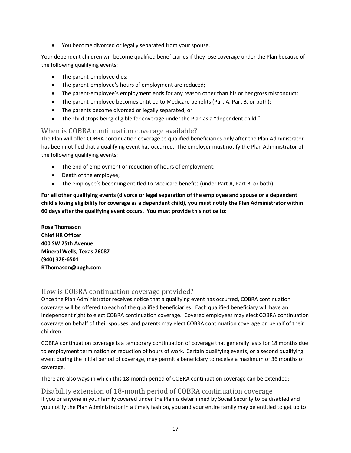• You become divorced or legally separated from your spouse.

Your dependent children will become qualified beneficiaries if they lose coverage under the Plan because of the following qualifying events:

- The parent-employee dies;
- The parent-employee's hours of employment are reduced;
- The parent-employee's employment ends for any reason other than his or her gross misconduct;
- The parent-employee becomes entitled to Medicare benefits (Part A, Part B, or both);
- The parents become divorced or legally separated; or
- The child stops being eligible for coverage under the Plan as a "dependent child."

#### When is COBRA continuation coverage available?

The Plan will offer COBRA continuation coverage to qualified beneficiaries only after the Plan Administrator has been notified that a qualifying event has occurred. The employer must notify the Plan Administrator of the following qualifying events:

- The end of employment or reduction of hours of employment;
- Death of the employee;
- The employee's becoming entitled to Medicare benefits (under Part A, Part B, or both).

**For all other qualifying events (divorce or legal separation of the employee and spouse or a dependent child's losing eligibility for coverage as a dependent child), you must notify the Plan Administrator within 60 days after the qualifying event occurs. You must provide this notice to:** 

**Rose Thomason Chief HR Officer 400 SW 25th Avenue Mineral Wells, Texas 76087 (940) 328-6501 RThomason@ppgh.com** 

#### How is COBRA continuation coverage provided?

Once the Plan Administrator receives notice that a qualifying event has occurred, COBRA continuation coverage will be offered to each of the qualified beneficiaries. Each qualified beneficiary will have an independent right to elect COBRA continuation coverage. Covered employees may elect COBRA continuation coverage on behalf of their spouses, and parents may elect COBRA continuation coverage on behalf of their children.

COBRA continuation coverage is a temporary continuation of coverage that generally lasts for 18 months due to employment termination or reduction of hours of work. Certain qualifying events, or a second qualifying event during the initial period of coverage, may permit a beneficiary to receive a maximum of 36 months of coverage.

There are also ways in which this 18-month period of COBRA continuation coverage can be extended:

#### Disability extension of 18-month period of COBRA continuation coverage If you or anyone in your family covered under the Plan is determined by Social Security to be disabled and you notify the Plan Administrator in a timely fashion, you and your entire family may be entitled to get up to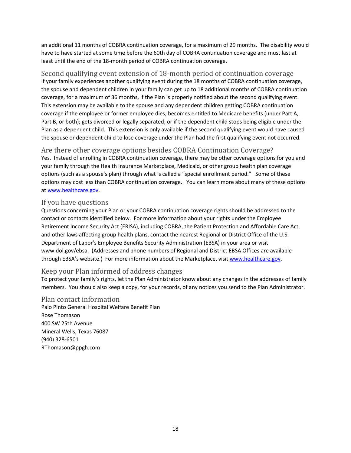an additional 11 months of COBRA continuation coverage, for a maximum of 29 months. The disability would have to have started at some time before the 60th day of COBRA continuation coverage and must last at least until the end of the 18-month period of COBRA continuation coverage.

Second qualifying event extension of 18-month period of continuation coverage If your family experiences another qualifying event during the 18 months of COBRA continuation coverage, the spouse and dependent children in your family can get up to 18 additional months of COBRA continuation coverage, for a maximum of 36 months, if the Plan is properly notified about the second qualifying event. This extension may be available to the spouse and any dependent children getting COBRA continuation coverage if the employee or former employee dies; becomes entitled to Medicare benefits (under Part A, Part B, or both); gets divorced or legally separated; or if the dependent child stops being eligible under the Plan as a dependent child. This extension is only available if the second qualifying event would have caused the spouse or dependent child to lose coverage under the Plan had the first qualifying event not occurred.

### Are there other coverage options besides COBRA Continuation Coverage?

Yes. Instead of enrolling in COBRA continuation coverage, there may be other coverage options for you and your family through the Health Insurance Marketplace, Medicaid, or other group health plan coverage options (such as a spouse's plan) through what is called a "special enrollment period." Some of these options may cost less than COBRA continuation coverage. You can learn more about many of these options at [www.healthcare.gov.](http://www.healthcare.gov/)

### If you have questions

Questions concerning your Plan or your COBRA continuation coverage rights should be addressed to the contact or contacts identified below. For more information about your rights under the Employee Retirement Income Security Act (ERISA), including COBRA, the Patient Protection and Affordable Care Act, and other laws affecting group health plans, contact the nearest Regional or District Office of the U.S. Department of Labor's Employee Benefits Security Administration (EBSA) in your area or visit www.dol.gov/ebsa. (Addresses and phone numbers of Regional and District EBSA Offices are available through EBSA's website.) For more information about the Marketplace, visit [www.healthcare.gov.](http://www.healthcare.gov/)

### Keep your Plan informed of address changes

To protect your family's rights, let the Plan Administrator know about any changes in the addresses of family members.You should also keep a copy, for your records, of any notices you send to the Plan Administrator.

#### Plan contact information

Palo Pinto General Hospital Welfare Benefit Plan Rose Thomason 400 SW 25th Avenue Mineral Wells, Texas 76087 (940) 328-6501 RThomason@ppgh.com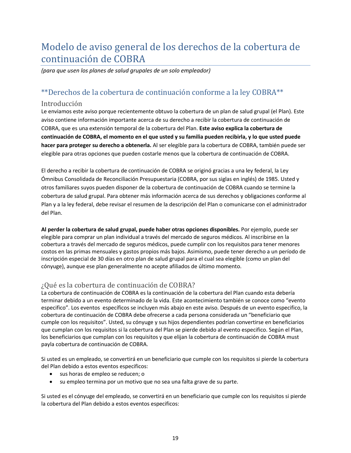## Modelo de aviso general de los derechos de la cobertura de continuación de COBRA

*(para que usen los planes de salud grupales de un solo empleador)*

## \*\*Derechos de la cobertura de continuación conforme a la ley COBRA\*\*

### Introducción

Le enviamos este aviso porque recientemente obtuvo la cobertura de un plan de salud grupal (el Plan). Este aviso contiene información importante acerca de su derecho a recibir la cobertura de continuación de COBRA, que es una extensión temporal de la cobertura del Plan. **Este aviso explica la cobertura de continuación de COBRA, el momento en el que usted y su familia pueden recibirla, y lo que usted puede hacer para proteger su derecho a obtenerla.** Al ser elegible para la cobertura de COBRA, también puede ser elegible para otras opciones que pueden costarle menos que la cobertura de continuación de COBRA.

El derecho a recibir la cobertura de continuación de COBRA se originó gracias a una ley federal, la Ley Ómnibus Consolidada de Reconciliación Presupuestaria (COBRA, por sus siglas en inglés) de 1985. Usted y otros familiares suyos pueden disponer de la cobertura de continuación de COBRA cuando se termine la cobertura de salud grupal. Para obtener más información acerca de sus derechos y obligaciones conforme al Plan y a la ley federal, debe revisar el resumen de la descripción del Plan o comunicarse con el administrador del Plan.

**Al perder la cobertura de salud grupal, puede haber otras opciones disponibles.** Por ejemplo, puede ser elegible para comprar un plan individual a través del mercado de seguros médicos. Al inscribirse en la cobertura a través del mercado de seguros médicos, puede cumplir con los requisitos para tener menores costos en las primas mensuales y gastos propios más bajos. Asimismo, puede tener derecho a un período de inscripción especial de 30 días en otro plan de salud grupal para el cual sea elegible (como un plan del cónyuge), aunque ese plan generalmente no acepte afiliados de último momento.

## ¿Qué es la cobertura de continuación de COBRA?

La cobertura de continuación de COBRA es la continuación de la cobertura del Plan cuando esta debería terminar debido a un evento determinado de la vida. Este acontecimiento también se conoce como "evento especifico". Los eventos específicos se incluyen más abajo en este aviso. Después de un evento especifico, la cobertura de continuación de COBRA debe ofrecerse a cada persona considerada un "beneficiario que cumple con los requisitos". Usted, su cónyuge y sus hijos dependientes podrían convertirse en beneficiarios que cumplan con los requisitos si la cobertura del Plan se pierde debido al evento especifico. Según el Plan, los beneficiarios que cumplan con los requisitos y que elijan la cobertura de continuación de COBRA must payla cobertura de continuación de COBRA.

Si usted es un empleado, se convertirá en un beneficiario que cumple con los requisitos si pierde la cobertura del Plan debido a estos eventos especificos:

- sus horas de empleo se reducen; o
- su empleo termina por un motivo que no sea una falta grave de su parte.

Si usted es el cónyuge del empleado, se convertirá en un beneficiario que cumple con los requisitos si pierde la cobertura del Plan debido a estos eventos especificos: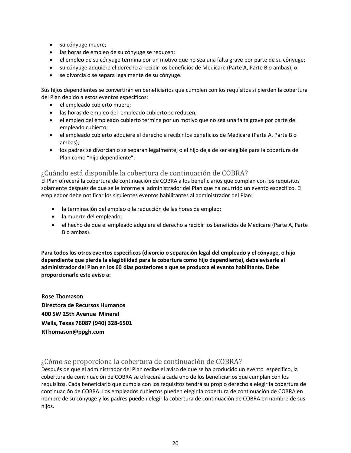- su cónyuge muere;
- las horas de empleo de su cónyuge se reducen;
- el empleo de su cónyuge termina por un motivo que no sea una falta grave por parte de su cónyuge;
- su cónyuge adquiere el derecho a recibir los beneficios de Medicare (Parte A, Parte B o ambas); o
- se divorcia o se separa legalmente de su cónyuge.

Sus hijos dependientes se convertirán en beneficiarios que cumplen con los requisitos si pierden la cobertura del Plan debido a estos eventos especificos:

- el empleado cubierto muere;
- las horas de empleo del empleado cubierto se reducen;
- el empleo del empleado cubierto termina por un motivo que no sea una falta grave por parte del empleado cubierto;
- el empleado cubierto adquiere el derecho a recibir los beneficios de Medicare (Parte A, Parte B o ambas);
- los padres se divorcian o se separan legalmente; o el hijo deja de ser elegible para la cobertura del Plan como "hijo dependiente".

### ¿Cuándo está disponible la cobertura de continuación de COBRA?

El Plan ofrecerá la cobertura de continuación de COBRA a los beneficiarios que cumplan con los requisitos solamente después de que se le informe al administrador del Plan que ha ocurrido un evento especifico. El empleador debe notificar los siguientes eventos habilitantes al administrador del Plan:

- la terminación del empleo o la reducción de las horas de empleo;
- la muerte del empleado;
- el hecho de que el empleado adquiera el derecho a recibir los beneficios de Medicare (Parte A, Parte B o ambas).

**Para todos los otros eventos especificos (divorcio o separación legal del empleado y el cónyuge, o hijo dependiente que pierde la elegibilidad para la cobertura como hijo dependiente), debe avisarle al administrador del Plan en los 60 días posteriores a que se produzca el evento habilitante. Debe proporcionarle este aviso a:** 

**Rose Thomason Directora de Recursos Humanos 400 SW 25th Avenue Mineral Wells, Texas 76087 (940) 328-6501 RThomason@ppgh.com** 

## ¿Cómo se proporciona la cobertura de continuación de COBRA?

Después de que el administrador del Plan recibe el aviso de que se ha producido un evento especifico, la cobertura de continuación de COBRA se ofrecerá a cada uno de los beneficiarios que cumplan con los requisitos. Cada beneficiario que cumpla con los requisitos tendrá su propio derecho a elegir la cobertura de continuación de COBRA. Los empleados cubiertos pueden elegir la cobertura de continuación de COBRA en nombre de su cónyuge y los padres pueden elegir la cobertura de continuación de COBRA en nombre de sus hijos.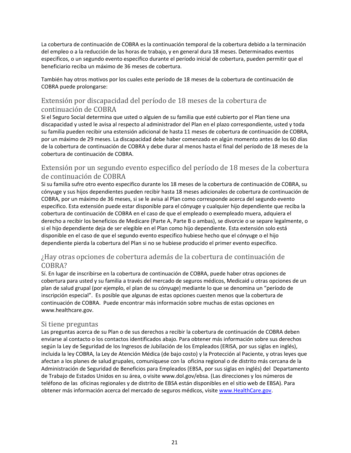La cobertura de continuación de COBRA es la continuación temporal de la cobertura debido a la terminación del empleo o a la reducción de las horas de trabajo, y en general dura 18 meses. Determinados eventos especificos, o un segundo evento especifico durante el período inicial de cobertura, pueden permitir que el beneficiario reciba un máximo de 36 meses de cobertura.

También hay otros motivos por los cuales este período de 18 meses de la cobertura de continuación de COBRA puede prolongarse:

## Extensión por discapacidad del período de 18 meses de la cobertura de continuación de COBRA

Si el Seguro Social determina que usted o alguien de su familia que esté cubierto por el Plan tiene una discapacidad y usted le avisa al respecto al administrador del Plan en el plazo correspondiente, usted y toda su familia pueden recibir una estensión adicional de hasta 11 meses de cobertura de continuación de COBRA, por un máximo de 29 meses. La discapacidad debe haber comenzado en algún momento antes de los 60 días de la cobertura de continuación de COBRA y debe durar al menos hasta el final del período de 18 meses de la cobertura de continuación de COBRA.

## Extensión por un segundo evento especifico del período de 18 meses de la cobertura de continuación de COBRA

Si su familia sufre otro evento especifico durante los 18 meses de la cobertura de continuación de COBRA, su cónyuge y sus hijos dependientes pueden recibir hasta 18 meses adicionales de cobertura de continuación de COBRA, por un máximo de 36 meses, si se le avisa al Plan como corresponde acerca del segundo evento especifico. Esta extensión puede estar disponible para el cónyuge y cualquier hijo dependiente que reciba la cobertura de continuación de COBRA en el caso de que el empleado o exempleado muera, adquiera el derecho a recibir los beneficios de Medicare (Parte A, Parte B o ambas), se divorcie o se separe legalmente, o si el hijo dependiente deja de ser elegible en el Plan como hijo dependiente. Esta extensión solo está disponible en el caso de que el segundo evento especifico hubiese hecho que el cónyuge o el hijo dependiente pierda la cobertura del Plan si no se hubiese producido el primer evento especifico.

### ¿Hay otras opciones de cobertura además de la cobertura de continuación de COBRA?

Sí. En lugar de inscribirse en la cobertura de continuación de COBRA, puede haber otras opciones de cobertura para usted y su familia a través del mercado de seguros médicos, Medicaid u otras opciones de un plan de salud grupal (por ejemplo, el plan de su cónyuge) mediante lo que se denomina un "período de inscripción especial". Es posible que algunas de estas opciones cuesten menos que la cobertura de continuación de COBRA. Puede encontrar más información sobre muchas de estas opciones en www.healthcare.gov.

### Si tiene preguntas

Las preguntas acerca de su Plan o de sus derechos a recibir la cobertura de continuación de COBRA deben enviarse al contacto o los contactos identificados abajo. Para obtener más información sobre sus derechos según la Ley de Seguridad de los Ingresos de Jubilación de los Empleados (ERISA, por sus siglas en inglés), incluida la ley COBRA, la Ley de Atención Médica (de bajo costo) y la Protección al Paciente, y otras leyes que afectan a los planes de salud grupales, comuníquese con la oficina regional o de distrito más cercana de la Administración de Seguridad de Beneficios para Empleados (EBSA, por sus siglas en inglés) del Departamento de Trabajo de Estados Unidos en su área, o visite www.dol.gov/ebsa. (Las direcciones y los números de teléfono de las oficinas regionales y de distrito de EBSA están disponibles en el sitio web de EBSA). Para obtener más información acerca del mercado de seguros médicos, visit[e www.HealthCare.gov.](http://www.healthcare.gov/)